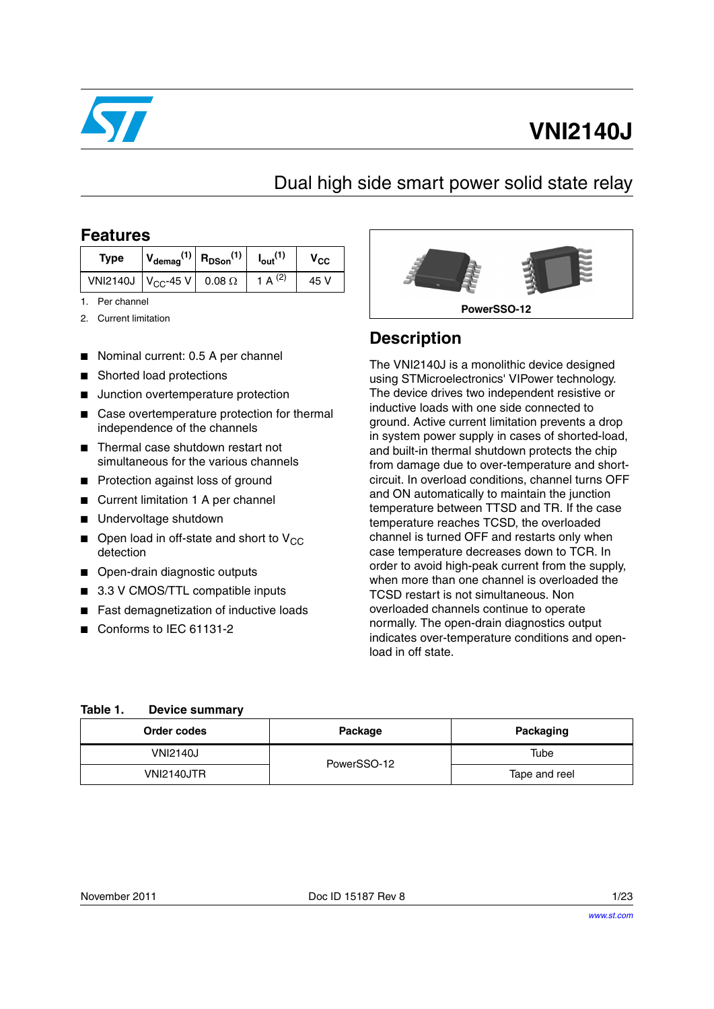

# **VNI2140J**

### Dual high side smart power solid state relay

### **Features**

| <b>Type</b>                      | $V_{\text{demag}}^{(1)}$ R <sub>DSon</sub> <sup>(1)</sup> |               | $I_{\text{out}}$ <sup>(</sup> | v <sub>CC</sub> |
|----------------------------------|-----------------------------------------------------------|---------------|-------------------------------|-----------------|
| VNI2140J   V <sub>CC</sub> -45 V |                                                           | $0.08 \Omega$ | $\overline{A}$                | 45 V            |

- 1. Per channel
- 2. Current limitation
- Nominal current: 0.5 A per channel
- Shorted load protections
- Junction overtemperature protection
- Case overtemperature protection for thermal independence of the channels
- Thermal case shutdown restart not simultaneous for the various channels
- Protection against loss of ground
- Current limitation 1 A per channel
- Undervoltage shutdown
- $\blacksquare$  Open load in off-state and short to V<sub>CC</sub> detection
- Open-drain diagnostic outputs
- 3.3 V CMOS/TTL compatible inputs
- Fast demagnetization of inductive loads
- Conforms to IEC 61131-2



### **Description**

The VNI2140J is a monolithic device designed using STMicroelectronics' VIPower technology. The device drives two independent resistive or inductive loads with one side connected to ground. Active current limitation prevents a drop in system power supply in cases of shorted-load, and built-in thermal shutdown protects the chip from damage due to over-temperature and shortcircuit. In overload conditions, channel turns OFF and ON automatically to maintain the junction temperature between TTSD and TR. If the case temperature reaches TCSD, the overloaded channel is turned OFF and restarts only when case temperature decreases down to TCR. In order to avoid high-peak current from the supply, when more than one channel is overloaded the TCSD restart is not simultaneous. Non overloaded channels continue to operate normally. The open-drain diagnostics output indicates over-temperature conditions and openload in off state.

#### **Table 1. Device summary**

| Order codes       | Packaging<br>Package |               |
|-------------------|----------------------|---------------|
| <b>VNI2140J</b>   | Tube<br>PowerSSO-12  |               |
| <b>VNI2140JTR</b> |                      | Tape and reel |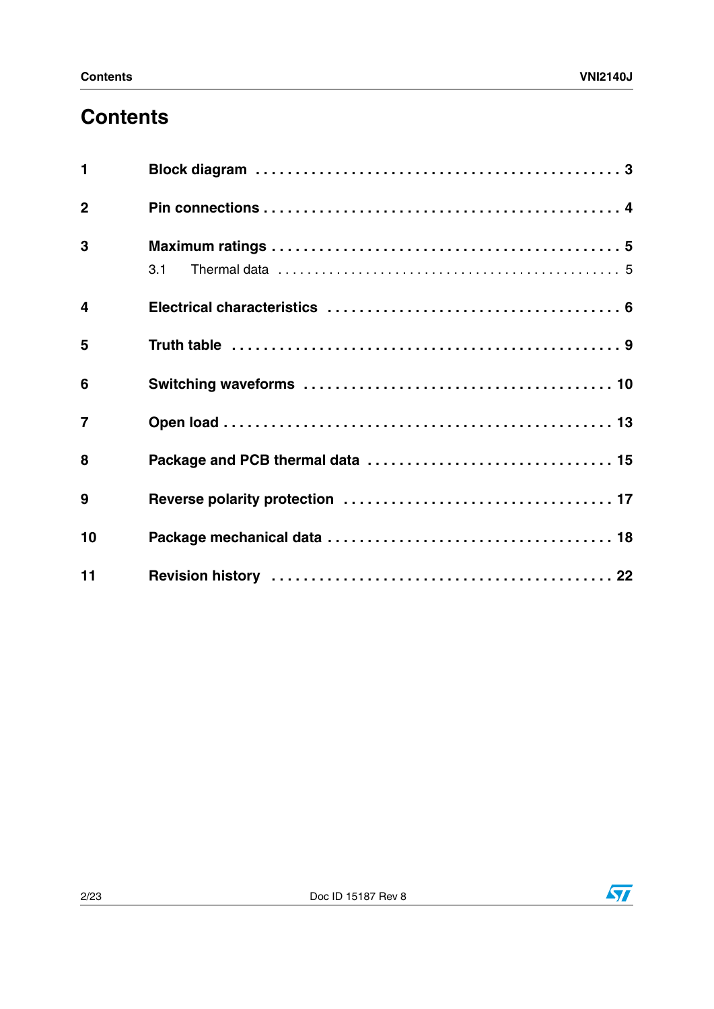## **Contents**

| 1                       |     |
|-------------------------|-----|
| $\overline{2}$          |     |
| 3                       | 3.1 |
| $\overline{\mathbf{4}}$ |     |
| 5                       |     |
| 6                       |     |
| $\overline{7}$          |     |
| 8                       |     |
| 9                       |     |
| 10                      |     |
| 11                      |     |

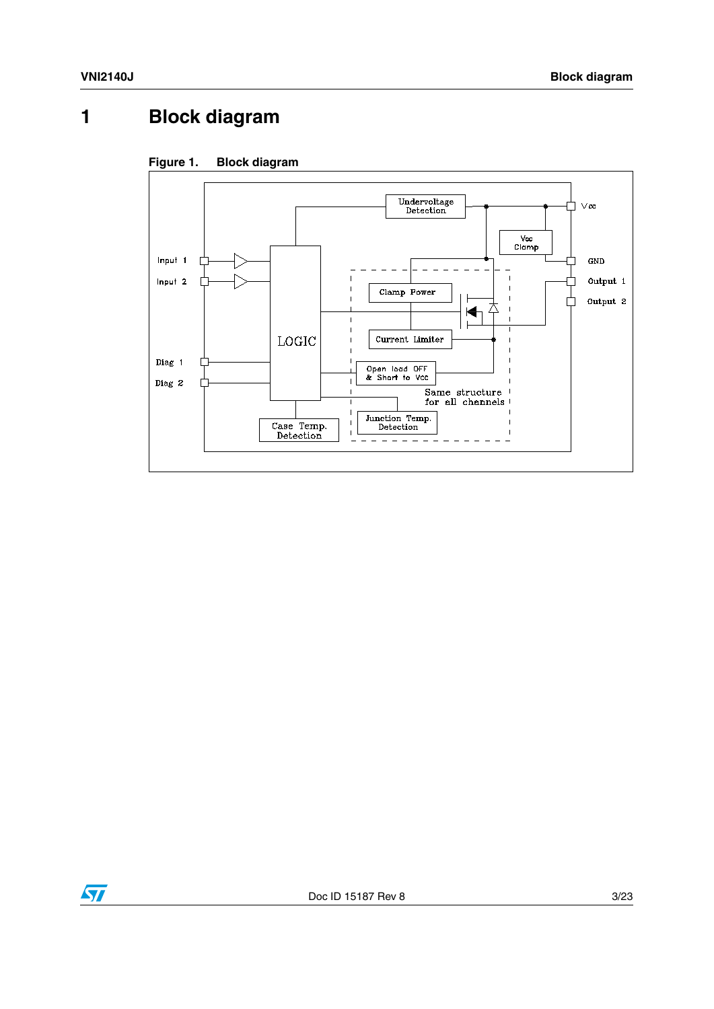## <span id="page-2-0"></span>**1 Block diagram**



### **Figure 1. Block diagram**

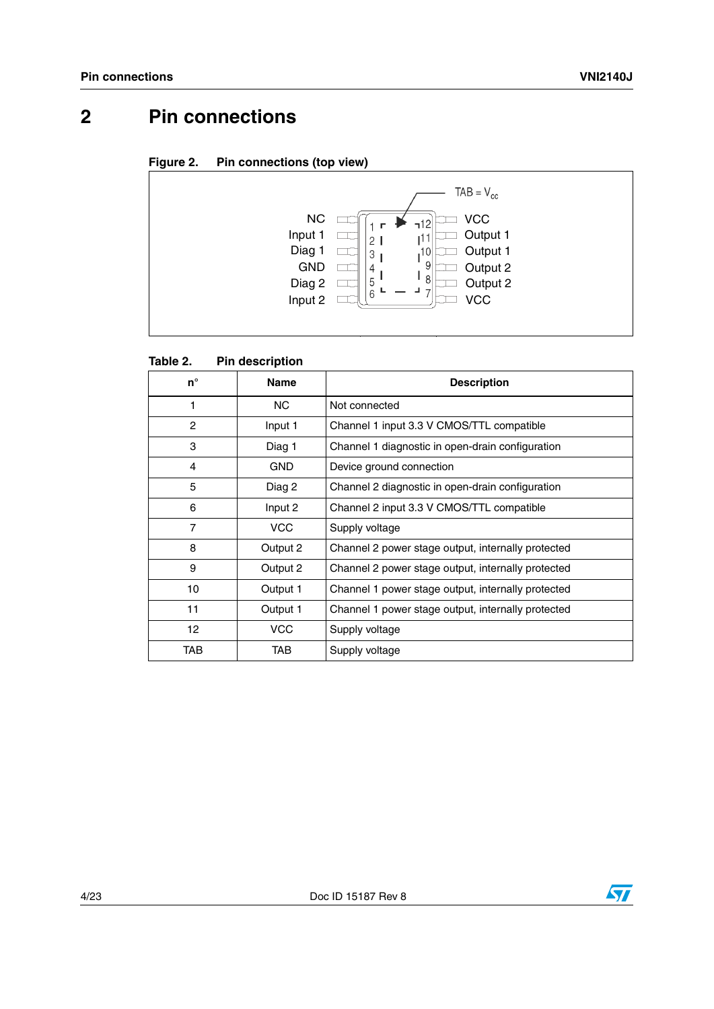## <span id="page-3-0"></span>**2 Pin connections**

**Figure 2. Pin connections (top view)**



| $n^{\circ}$    | <b>Name</b> | <b>Description</b>                                 |
|----------------|-------------|----------------------------------------------------|
| 1              | NC.         | Not connected                                      |
| $\overline{c}$ | Input 1     | Channel 1 input 3.3 V CMOS/TTL compatible          |
| 3              | Diag 1      | Channel 1 diagnostic in open-drain configuration   |
| 4              | <b>GND</b>  | Device ground connection                           |
| 5              | Diag 2      | Channel 2 diagnostic in open-drain configuration   |
| 6              | Input 2     | Channel 2 input 3.3 V CMOS/TTL compatible          |
| $\overline{7}$ | <b>VCC</b>  | Supply voltage                                     |
| 8              | Output 2    | Channel 2 power stage output, internally protected |
| 9              | Output 2    | Channel 2 power stage output, internally protected |
| 10             | Output 1    | Channel 1 power stage output, internally protected |
| 11             | Output 1    | Channel 1 power stage output, internally protected |
| 12             | <b>VCC</b>  | Supply voltage                                     |
| TAB            | TAB         | Supply voltage                                     |

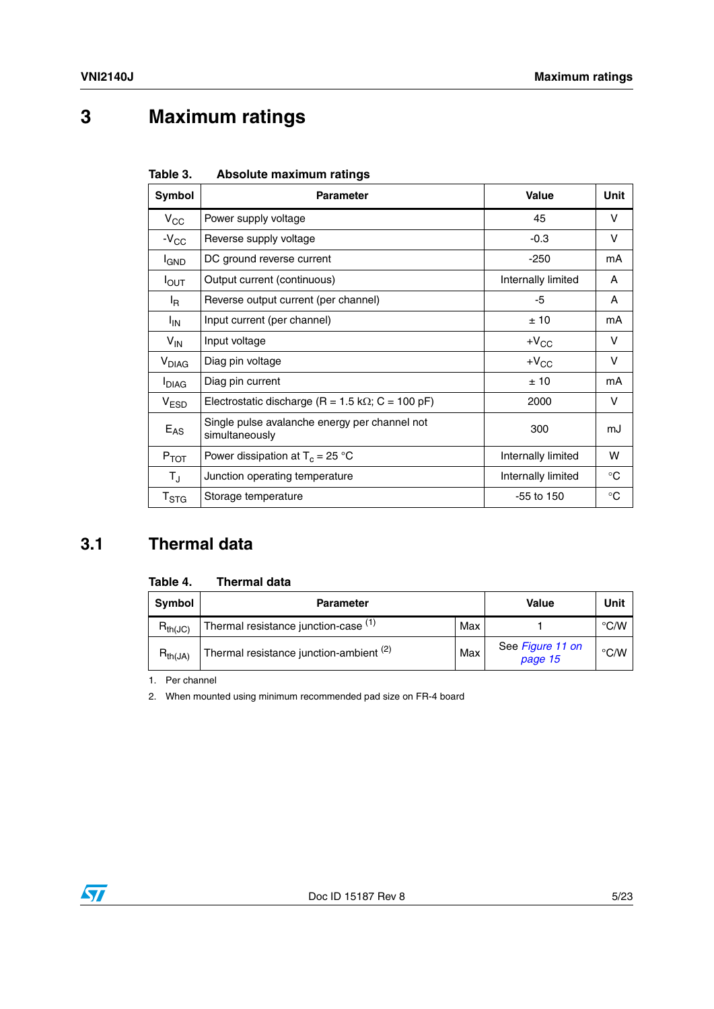## <span id="page-4-0"></span>**3 Maximum ratings**

| Table 3. | Absolute maximum ratings |  |
|----------|--------------------------|--|
|          |                          |  |

| Symbol                    | <b>Parameter</b>                                                | <b>Value</b>       | Unit        |
|---------------------------|-----------------------------------------------------------------|--------------------|-------------|
| $V_{\rm CC}$              | Power supply voltage                                            | 45                 | v           |
| $-V_{CC}$                 | Reverse supply voltage                                          | $-0.3$             | V           |
| <b>I</b> GND              | DC ground reverse current                                       | $-250$             | mA          |
| $I_{\text{OUT}}$          | Output current (continuous)                                     | Internally limited | A           |
| l <sub>R</sub>            | Reverse output current (per channel)                            | -5                 | A           |
| $I_{IN}$                  | Input current (per channel)                                     | ±10                | mA          |
| $V_{\text{IN}}$           | Input voltage                                                   | $+V_{CC}$          | V           |
| <b>V<sub>DIAG</sub></b>   | Diag pin voltage                                                | $+V_{CC}$          | V           |
| <b>I</b> DIAG             | Diag pin current                                                | ±10                | mA          |
| V <sub>ESD</sub>          | Electrostatic discharge (R = 1.5 k $\Omega$ ; C = 100 pF)       | 2000               | V           |
| $E_{AS}$                  | Single pulse avalanche energy per channel not<br>simultaneously | 300                | mJ          |
| $P_{TOT}$                 | Power dissipation at $T_c = 25 °C$                              | Internally limited | w           |
| $T_{\rm J}$               | Junction operating temperature                                  | Internally limited | $^{\circ}C$ |
| $\mathsf{T}_{\text{STG}}$ | Storage temperature                                             | $-55$ to 150       | $^{\circ}C$ |

### <span id="page-4-1"></span>**3.1 Thermal data**

<span id="page-4-2"></span>

|  | Table 4. |  | <b>Thermal data</b> |  |
|--|----------|--|---------------------|--|
|--|----------|--|---------------------|--|

| Symbol       | <b>Parameter</b>                        |     | Value                       | Unit          |
|--------------|-----------------------------------------|-----|-----------------------------|---------------|
| $R_{th(JC)}$ | Thermal resistance junction-case (1)    | Max |                             | $\degree$ C/W |
| $R_{th(JA)}$ | Thermal resistance junction-ambient (2) | Max | See Figure 11 on<br>page 15 | $\degree$ C/W |

1. Per channel

2. When mounted using minimum recommended pad size on FR-4 board

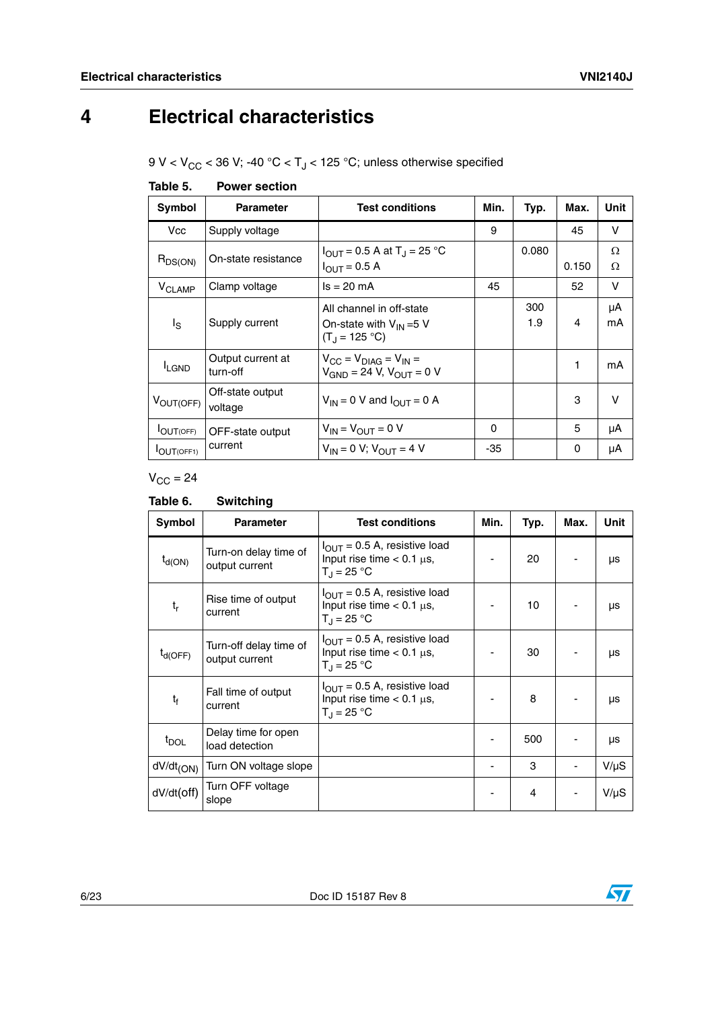## <span id="page-5-0"></span>**4 Electrical characteristics**

9 V <  $V_{CC}$  < 36 V; -40 °C < T<sub>J</sub> < 125 °C; unless otherwise specified

| ט טושו                   | ו טעט וטאט ו                  |                                                                                              |          |            |       |          |
|--------------------------|-------------------------------|----------------------------------------------------------------------------------------------|----------|------------|-------|----------|
| Symbol                   | <b>Parameter</b>              | <b>Test conditions</b>                                                                       | Min.     | Typ.       | Max.  | Unit     |
| Vcc                      | Supply voltage                |                                                                                              | 9        |            | 45    | V        |
| $R_{DS(ON)}$             | On-state resistance           | $I_{\text{OUT}} = 0.5 \text{ A at } T_J = 25 \text{ °C}$<br>$I_{\text{OUT}} = 0.5 \text{ A}$ |          | 0.080      | 0.150 | Ω<br>Ω   |
| <b>V<sub>CLAMP</sub></b> | Clamp voltage                 | $Is = 20 mA$                                                                                 | 45       |            | 52    | v        |
| $I_{\rm S}$              | Supply current                | All channel in off-state<br>On-state with $V_{IN} = 5 V$<br>$(T_1 = 125 °C)$                 |          | 300<br>1.9 | 4     | μA<br>mA |
| <b>I</b> LGND            | Output current at<br>turn-off | $V_{CC} = V_{DIAG} = V_{IN} =$<br>$V_{GND}$ = 24 V, $V_{OUIT}$ = 0 V                         |          |            | 1     | mA       |
| VOUT(OFF)                | Off-state output<br>voltage   | $V_{IN}$ = 0 V and $I_{OUT}$ = 0 A                                                           |          |            | 3     | $\vee$   |
| <b>IOUT(OFF)</b>         | OFF-state output              | $V_{IN}$ = $V_{OUT}$ = 0 V                                                                   | $\Omega$ |            | 5     | μA       |
| <b>IOUT(OFF1)</b>        | current                       | $V_{IN} = 0 V$ ; $V_{OUT} = 4 V$                                                             | -35      |            | 0     | μA       |

<span id="page-5-1"></span>**Table 5. Power section**

### $V_{\text{CC}} = 24$

| Symbol                    | <b>Parameter</b>                         | <b>Test conditions</b>                                                                             | Min. | Typ. | Max. | Unit      |
|---------------------------|------------------------------------------|----------------------------------------------------------------------------------------------------|------|------|------|-----------|
| $t_{d(ON)}$               | Turn-on delay time of<br>output current  | $I_{\text{OUT}}$ = 0.5 A, resistive load<br>Input rise time $< 0.1 \mu s$ ,<br>$T_{\rm d}$ = 25 °C |      | 20   |      | μs        |
| $\mathsf{t}_{\mathsf{r}}$ | Rise time of output<br>current           | $I_{\text{OUT}}$ = 0.5 A, resistive load<br>Input rise time $< 0.1 \mu s$ ,<br>$T_{\rm J}$ = 25 °C |      | 10   |      | μs        |
| $t_{d(OFF)}$              | Turn-off delay time of<br>output current | $I_{\text{OUT}}$ = 0.5 A, resistive load<br>Input rise time $< 0.1 \mu s$ ,<br>$T_{\rm d}$ = 25 °C |      | 30   |      | μs        |
| t <sub>f</sub>            | Fall time of output<br>current           | $I_{\text{OUT}}$ = 0.5 A, resistive load<br>Input rise time $< 0.1 \mu s$ ,<br>$T_{\rm J}$ = 25 °C |      | 8    |      | μs        |
| $t_{\text{DOL}}$          | Delay time for open<br>load detection    |                                                                                                    |      | 500  |      | μs        |
| $dV/dt_{(ON)}$            | Turn ON voltage slope                    |                                                                                                    |      | 3    |      | $V/\mu S$ |
| dV/dt(off)                | Turn OFF voltage<br>slope                |                                                                                                    |      | 4    |      | $V/\mu S$ |

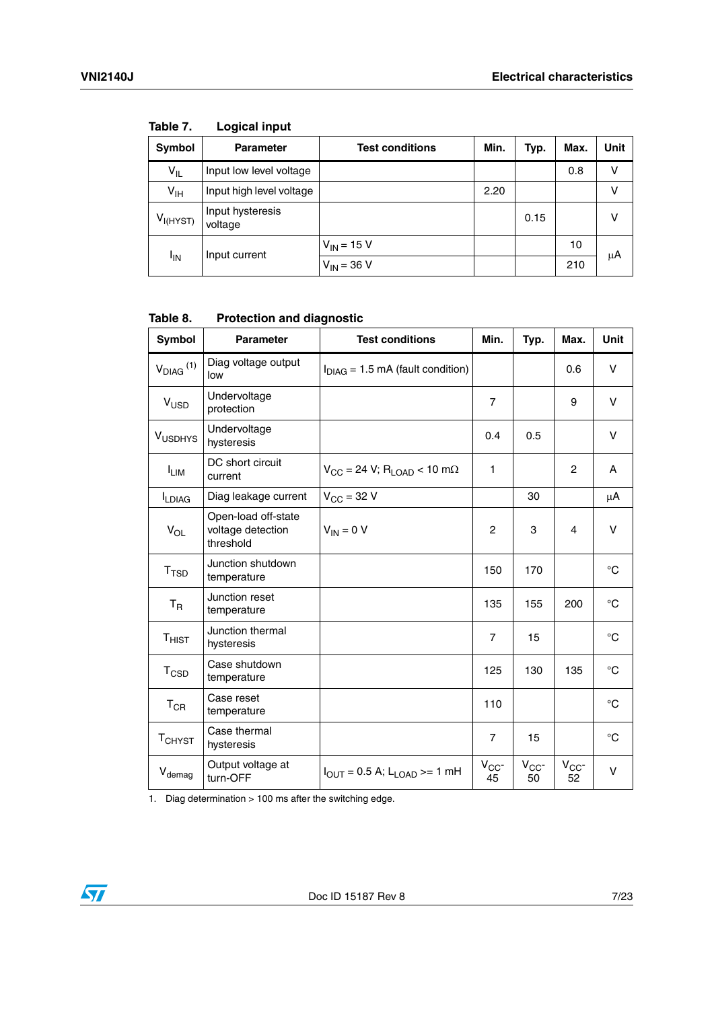| Symbol               | <b>Parameter</b>            | <b>Test conditions</b> | Min. | Typ. | Max. | Unit |
|----------------------|-----------------------------|------------------------|------|------|------|------|
| $V_{IL}$             | Input low level voltage     |                        |      |      | 0.8  | ν    |
| $V_{\text{IH}}$      | Input high level voltage    |                        | 2.20 |      |      | ν    |
| V <sub>I(HYST)</sub> | Input hysteresis<br>voltage |                        |      | 0.15 |      | v    |
| <sup>I</sup> IN      | Input current               | $V_{IN}$ = 15 V        |      |      | 10   | μA   |
|                      |                             | $V_{IN} = 36 V$        |      |      | 210  |      |

**Table 7. Logical input**

<span id="page-6-0"></span>**Table 8. Protection and diagnostic**

| Symbol                    | <b>Parameter</b>                                      | <b>Test conditions</b>                                               | Min.           | Typ.           | Max.           | <b>Unit</b>     |
|---------------------------|-------------------------------------------------------|----------------------------------------------------------------------|----------------|----------------|----------------|-----------------|
| $V_{DIAG}$ <sup>(1)</sup> | Diag voltage output<br>low                            | $I_{DIAG}$ = 1.5 mA (fault condition)                                |                |                | 0.6            | V               |
| $V_{\text{USD}}$          | Undervoltage<br>protection                            |                                                                      | $\overline{7}$ |                | 9              | V               |
| V <sub>USDHYS</sub>       | Undervoltage<br>hysteresis                            |                                                                      | 0.4            | 0.5            |                | v               |
| <b>LIM</b>                | DC short circuit<br>current                           | $V_{\text{CC}} = 24 \text{ V}; R_{\text{LOAD}} < 10 \text{ m}\Omega$ | 1              |                | $\overline{2}$ | A               |
| LDIAG                     | Diag leakage current                                  | $V_{\rm CC}$ = 32 V                                                  |                | 30             |                | μA              |
| $V_{OL}$                  | Open-load off-state<br>voltage detection<br>threshold | $V_{IN} = 0 V$                                                       | $\overline{c}$ | 3              | $\overline{4}$ | v               |
| T <sub>TSD</sub>          | Junction shutdown<br>temperature                      |                                                                      | 150            | 170            |                | $\rm ^{\circ}C$ |
| $T_R$                     | Junction reset<br>temperature                         |                                                                      | 135            | 155            | 200            | $^{\circ}C$     |
| $T_{HIST}$                | Junction thermal<br>hysteresis                        |                                                                      | $\overline{7}$ | 15             |                | $^{\circ}C$     |
| $T_{\text{CSD}}$          | Case shutdown<br>temperature                          |                                                                      | 125            | 130            | 135            | $^{\circ}C$     |
| $T_{CR}$                  | Case reset<br>temperature                             |                                                                      | 110            |                |                | $^{\circ}C$     |
| <b>TCHYST</b>             | Case thermal<br>hysteresis                            |                                                                      | $\overline{7}$ | 15             |                | $^{\circ}C$     |
| V <sub>demag</sub>        | Output voltage at<br>turn-OFF                         | $I_{\text{OUT}} = 0.5$ A; L <sub>I OAD</sub> >= 1 mH                 | $V_{CC}$<br>45 | $V_{CC}$<br>50 | $V_{CC}$<br>52 | v               |

1. Diag determination > 100 ms after the switching edge.

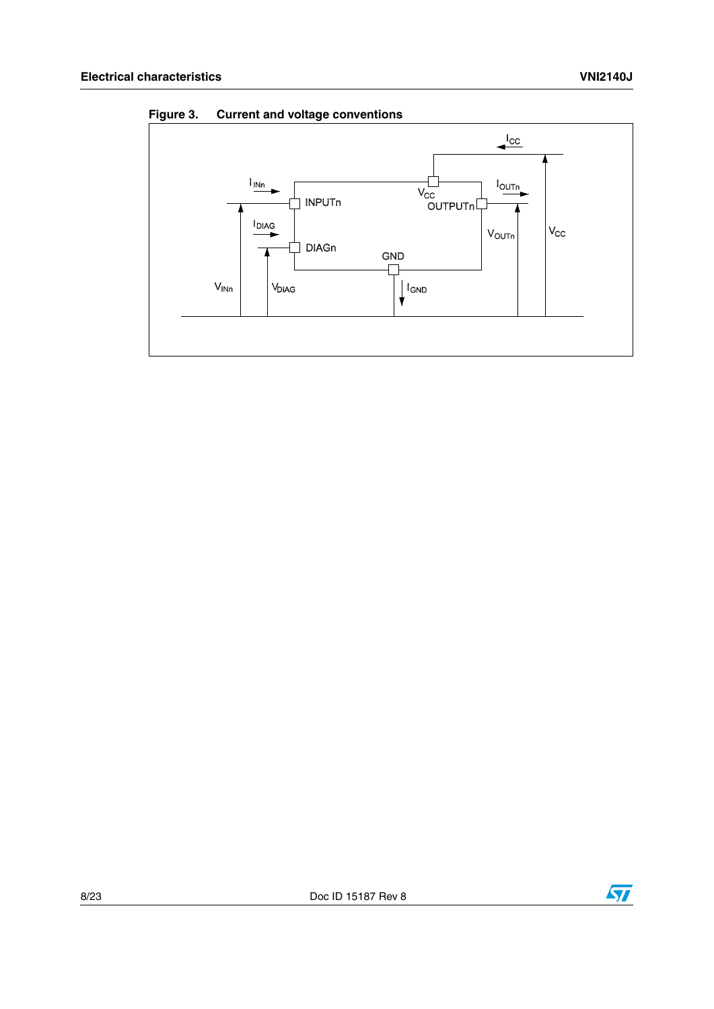

**Figure 3. Current and voltage conventions**

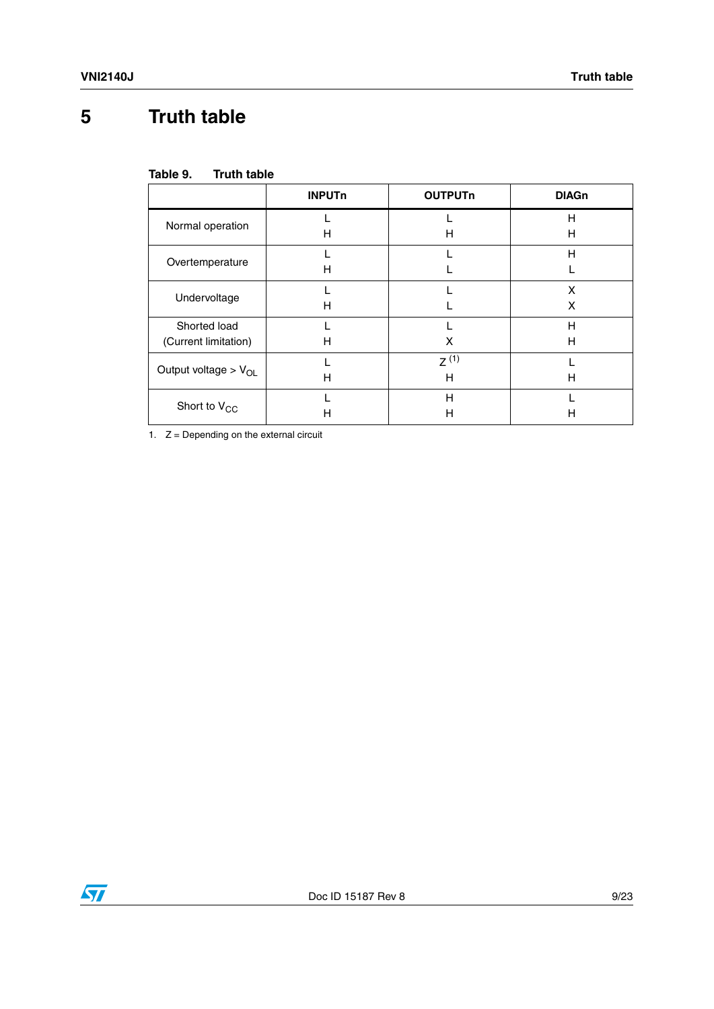## <span id="page-8-0"></span>**5 Truth table**

| Table 9. | <b>Truth table</b> |  |
|----------|--------------------|--|
|          |                    |  |

|                                      | <b>INPUTn</b> | <b>OUTPUTn</b> | <b>DIAGn</b> |
|--------------------------------------|---------------|----------------|--------------|
| Normal operation                     | н             | н              | Н<br>н       |
| Overtemperature                      | Н             |                | Н            |
| Undervoltage                         | н             |                | x<br>x       |
| Shorted load<br>(Current limitation) | Н             | X              | Н<br>н       |
| Output voltage > $V_{OL}$            | н             | $7^{(1)}$<br>H | н            |
| Short to $V_{CC}$                    | н             | Н<br>Н         | н            |

1.  $Z =$  Depending on the external circuit

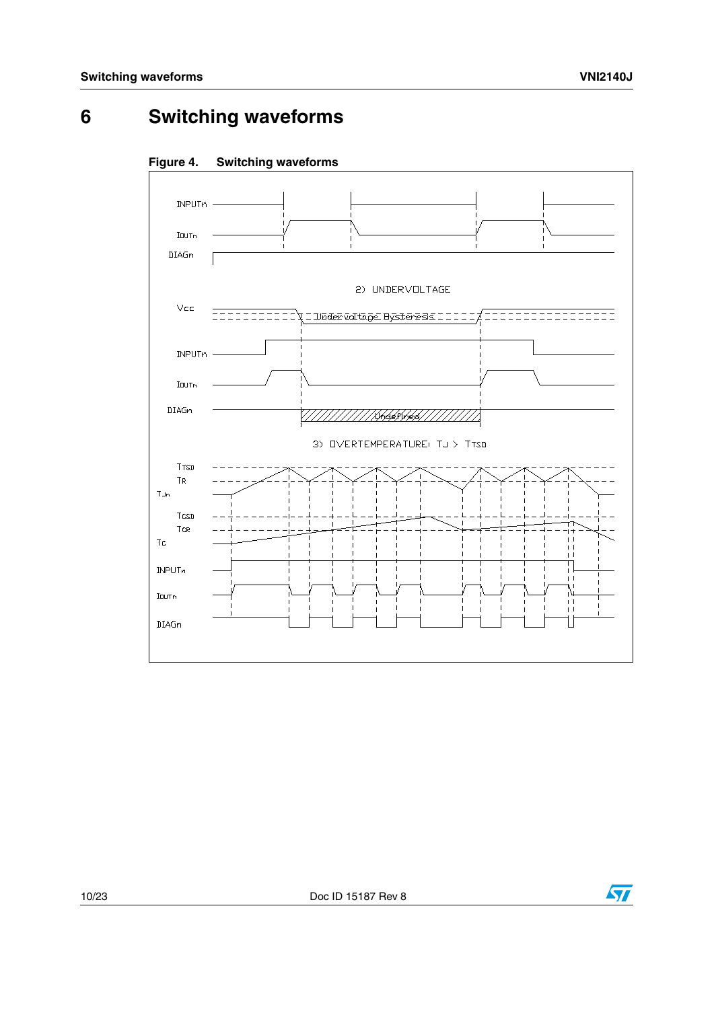## <span id="page-9-0"></span>**6 Switching waveforms**





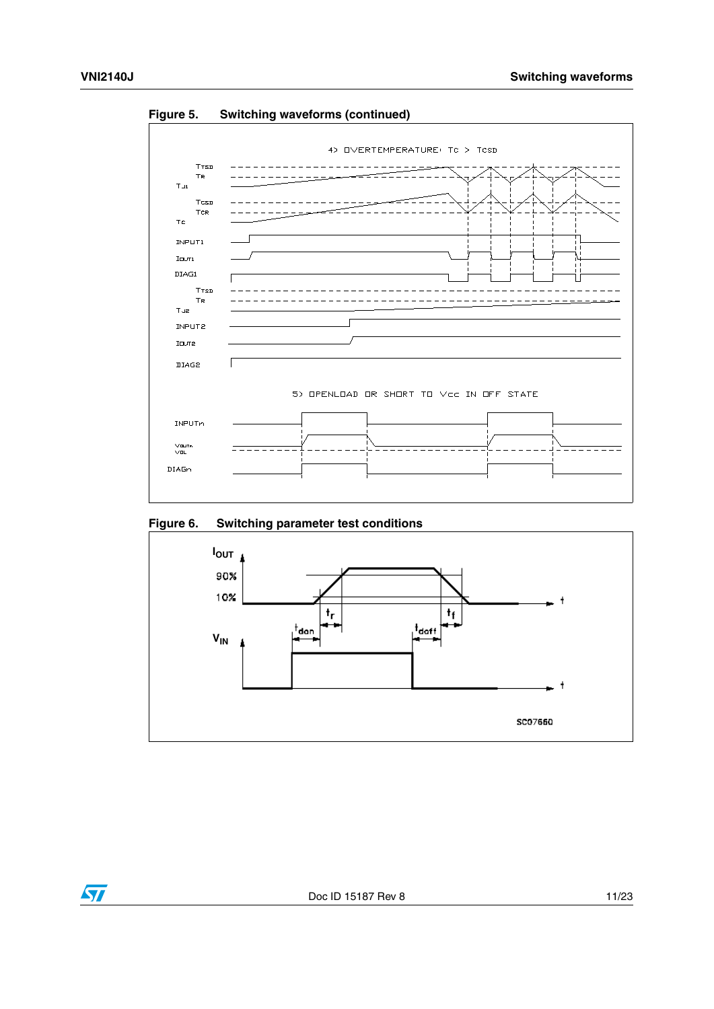$\sqrt{2}$ 



**Figure 5. Switching waveforms (continued)**

#### **Figure 6. Switching parameter test conditions**

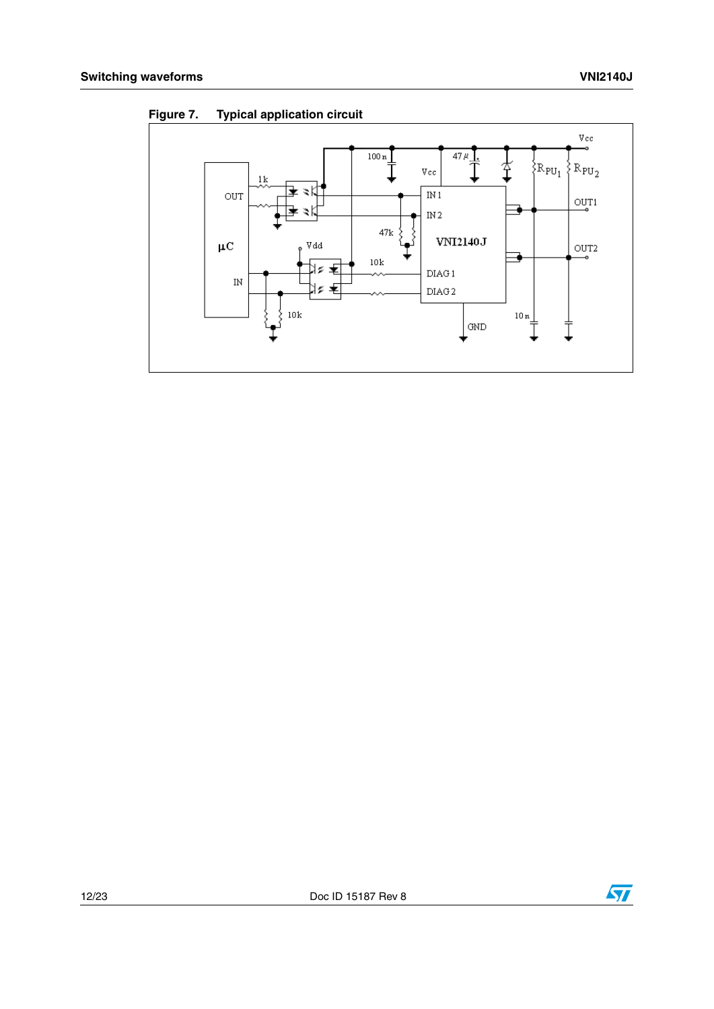

**Figure 7. Typical application circuit**

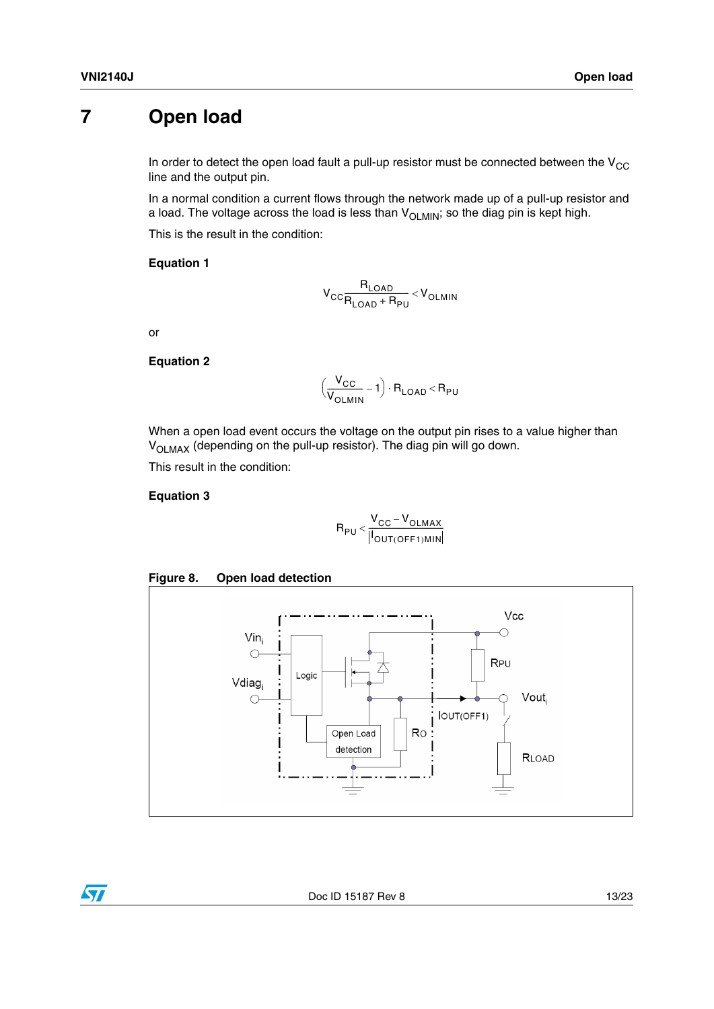### <span id="page-12-0"></span>**7 Open load**

In order to detect the open load fault a pull-up resistor must be connected between the  $V_{CC}$ line and the output pin.

In a normal condition a current flows through the network made up of a pull-up resistor and a load. The voltage across the load is less than  $V_{OLMIN}$ ; so the diag pin is kept high.

This is the result in the condition:

#### **Equation 1**

$$
V_{CC}\frac{R_{LOAD}}{R_{LOAD}+R_{PU}} < V_{OLMIN}
$$

or

#### **Equation 2**

$$
\left(\frac{V_{CC}}{V_{OLMIN}} - 1\right) \cdot R_{LOAD} < R_{PU}
$$

When a open load event occurs the voltage on the output pin rises to a value higher than V<sub>OLMAX</sub> (depending on the pull-up resistor). The diag pin will go down.

This result in the condition:

#### **Equation 3**

$$
R_{PU} < \frac{V_{CC} - V_{OLMAX}}{\left\| I_{OUT(OFF1)MIN} \right\|}
$$





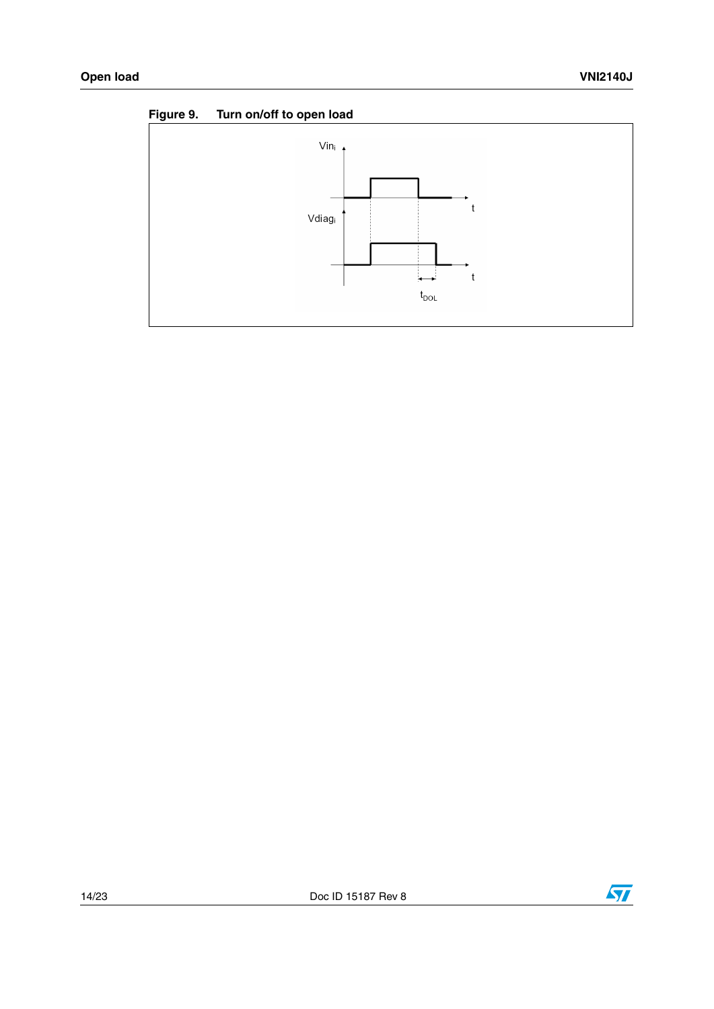



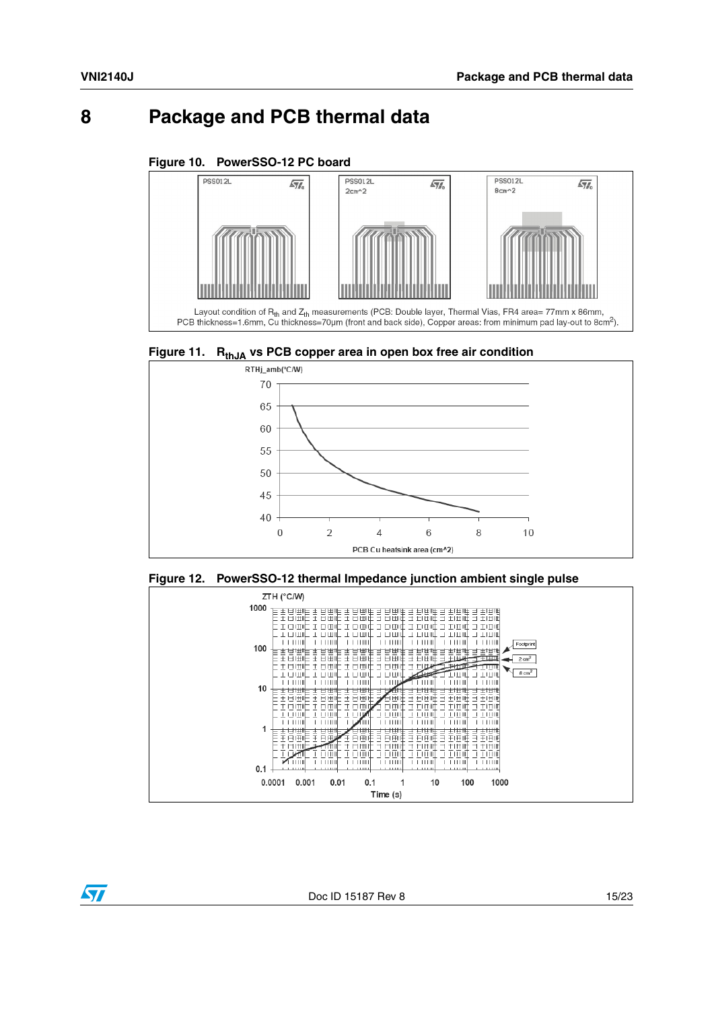$\sqrt{}$ 

### <span id="page-14-0"></span>**8 Package and PCB thermal data**

#### **Figure 10. PowerSSO-12 PC board**



<span id="page-14-1"></span>





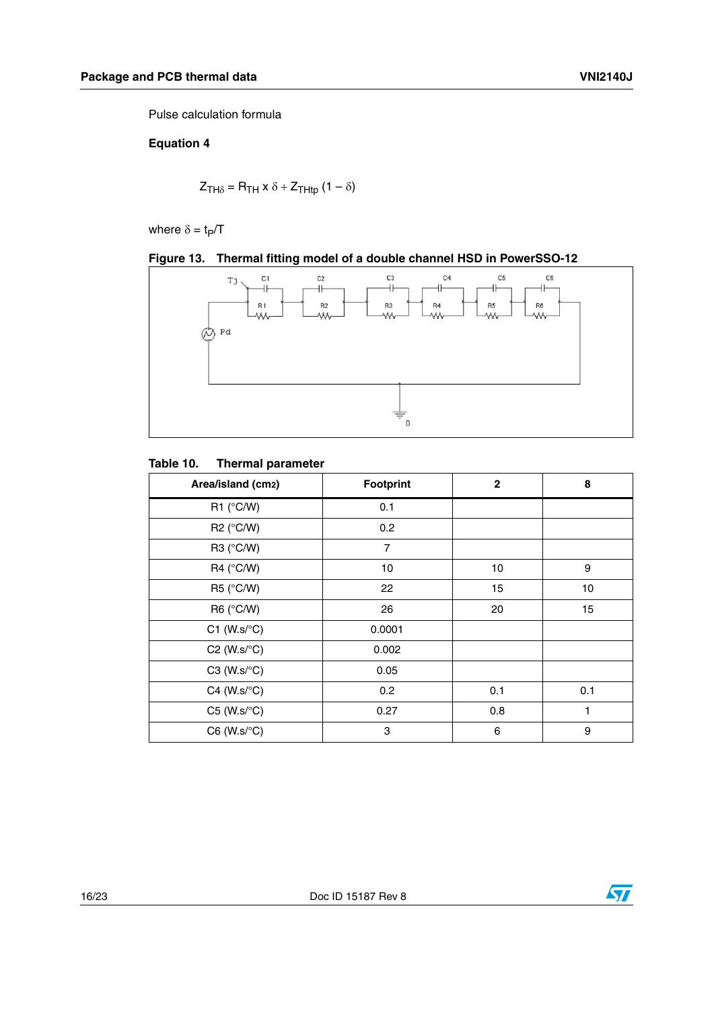Pulse calculation formula

#### **Equation 4**

$$
Z_{TH\delta} = R_{TH} \times \delta + Z_{THtp} (1 - \delta)
$$

where  $\delta = t_P/T$ 





#### **Table 10. Thermal parameter**

| Area/island (cm2)            | <b>Footprint</b> | $\mathbf{2}$ | 8   |
|------------------------------|------------------|--------------|-----|
| R1 $(^{\circ}C/W)$           | 0.1              |              |     |
| $R2$ (°C/W)                  | 0.2              |              |     |
| R3 $(^{\circ}C/W)$           | $\overline{7}$   |              |     |
| $R4$ (°C/W)                  | 10               | 10           | 9   |
| R5 (°C/W)                    | 22               | 15           | 10  |
| R6 (°C/W)                    | 26               | 20           | 15  |
| $C1$ (W.s/ $\textdegree C$ ) | 0.0001           |              |     |
| $C2$ (W.s/ $\textdegree C$ ) | 0.002            |              |     |
| $C3$ (W.s/ $\textdegree C$ ) | 0.05             |              |     |
| $C4$ (W.s/ $\textdegree C$ ) | 0.2              | 0.1          | 0.1 |
| $C5$ (W.s/ $\textdegree C$ ) | 0.27             | 0.8          | 1   |
| $C6$ (W.s/ $\textdegree C$ ) | 3                | 6            | 9   |

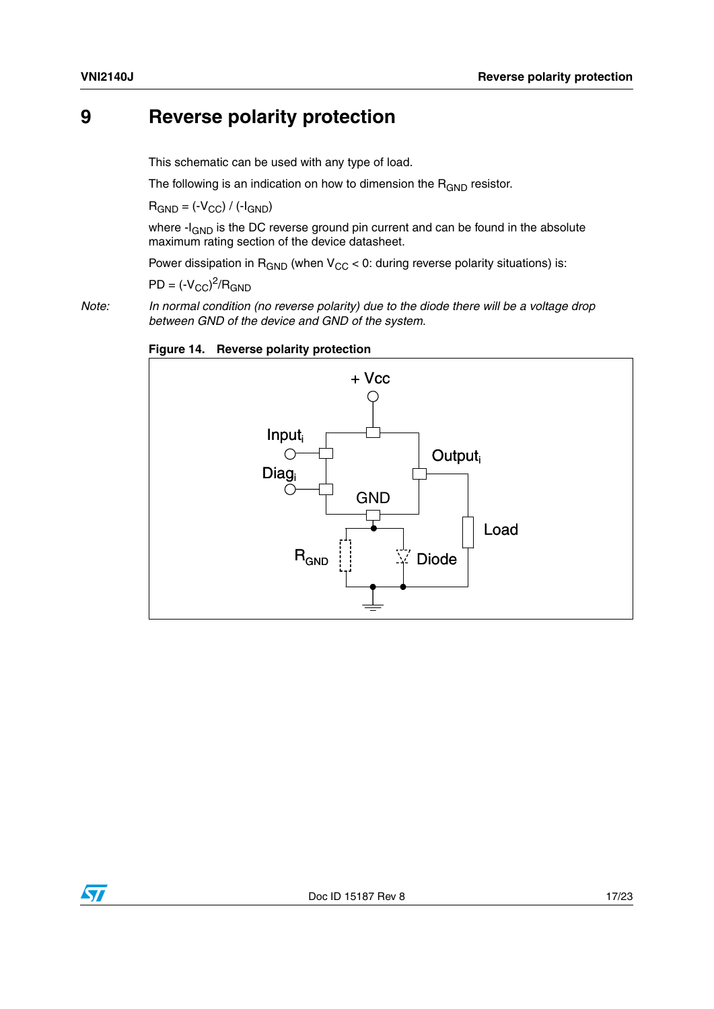### <span id="page-16-0"></span>**9 Reverse polarity protection**

This schematic can be used with any type of load.

The following is an indication on how to dimension the  $R_{GND}$  resistor.

 $R_{GND} = (-V_{CC}) / (-I_{GND})$ 

where -I<sub>GND</sub> is the DC reverse ground pin current and can be found in the absolute maximum rating section of the device datasheet.

Power dissipation in  $R_{GND}$  (when  $V_{CC}$  < 0: during reverse polarity situations) is:

 $PD = (-V_{CC})^2 / R_{GND}$ 

*Note: In normal condition (no reverse polarity) due to the diode there will be a voltage drop between GND of the device and GND of the system.*





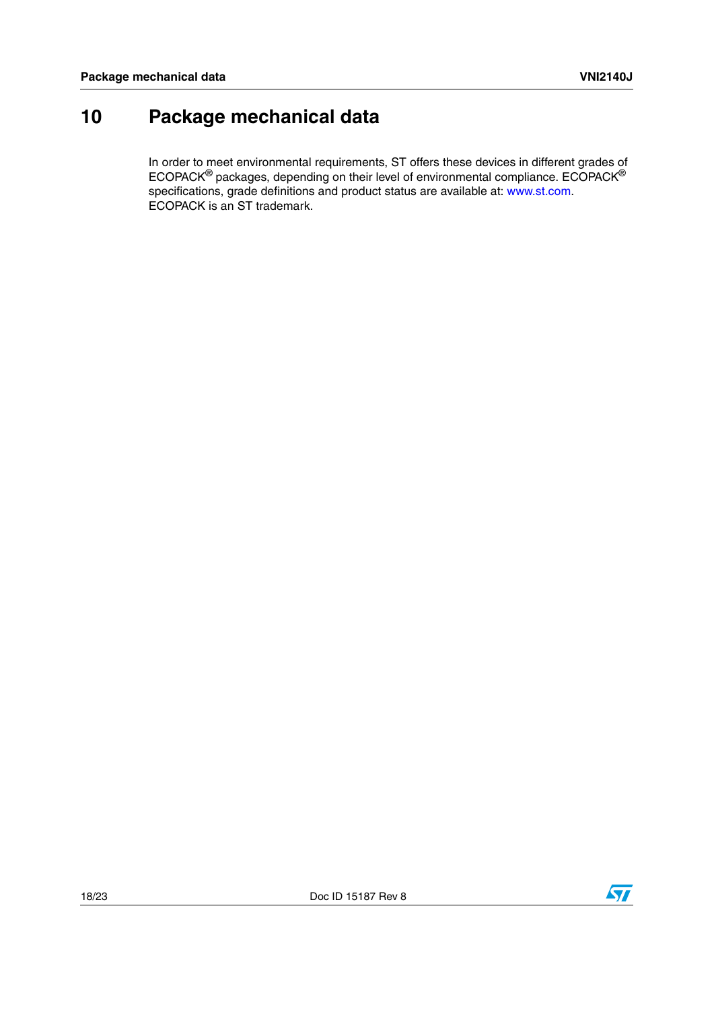## <span id="page-17-0"></span>**10 Package mechanical data**

In order to meet environmental requirements, ST offers these devices in different grades of ECOPACK® packages, depending on their level of environmental compliance. ECOPACK® specifications, grade definitions and product status are available at: www.st.com. ECOPACK is an ST trademark.

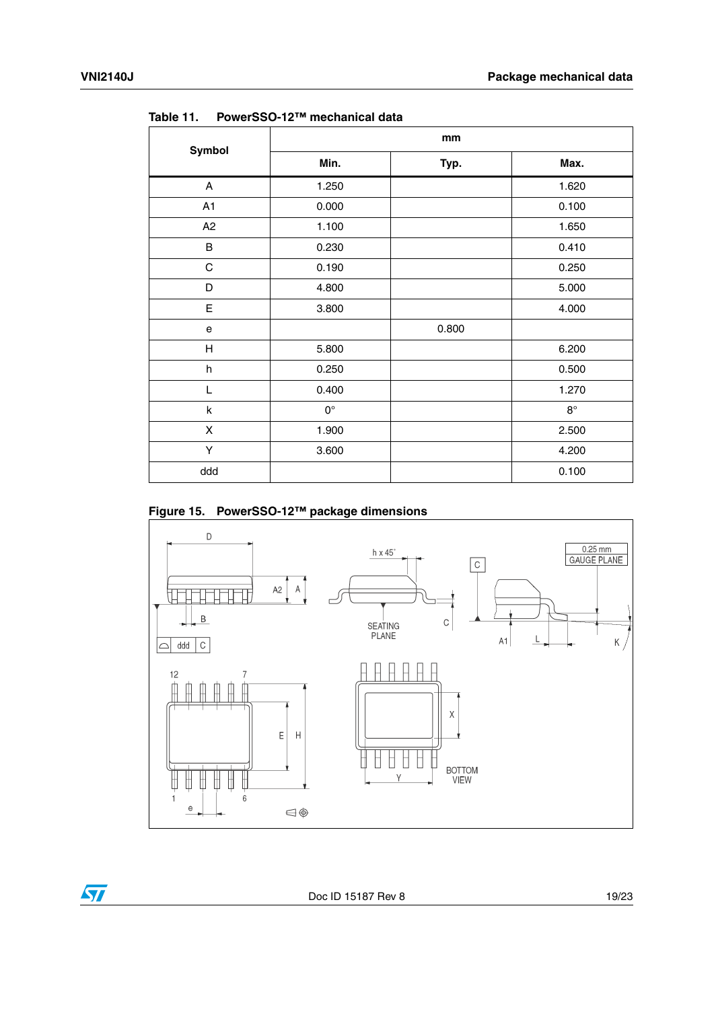|             | mm                 |       |             |  |  |
|-------------|--------------------|-------|-------------|--|--|
| Symbol      | Min.               | Typ.  | Max.        |  |  |
| A           | 1.250              |       | 1.620       |  |  |
| A1          | 0.000              |       | 0.100       |  |  |
| A2          | 1.100              |       | 1.650       |  |  |
| B           | 0.230              |       | 0.410       |  |  |
| $\mathsf C$ | 0.190              |       | 0.250       |  |  |
| D           | 4.800              |       | 5.000       |  |  |
| E           | 3.800              |       | 4.000       |  |  |
| e           |                    | 0.800 |             |  |  |
| H           | 5.800              |       | 6.200       |  |  |
| h           | 0.250              |       | 0.500       |  |  |
| L           | 0.400              |       | 1.270       |  |  |
| k           | $\mathsf{O}^\circ$ |       | $8^{\circ}$ |  |  |
| X           | 1.900              |       | 2.500       |  |  |
| Υ           | 3.600              |       | 4.200       |  |  |
| ddd         |                    |       | 0.100       |  |  |

**Table 11. PowerSSO-12™ mechanical data**

### **Figure 15. PowerSSO-12™ package dimensions**



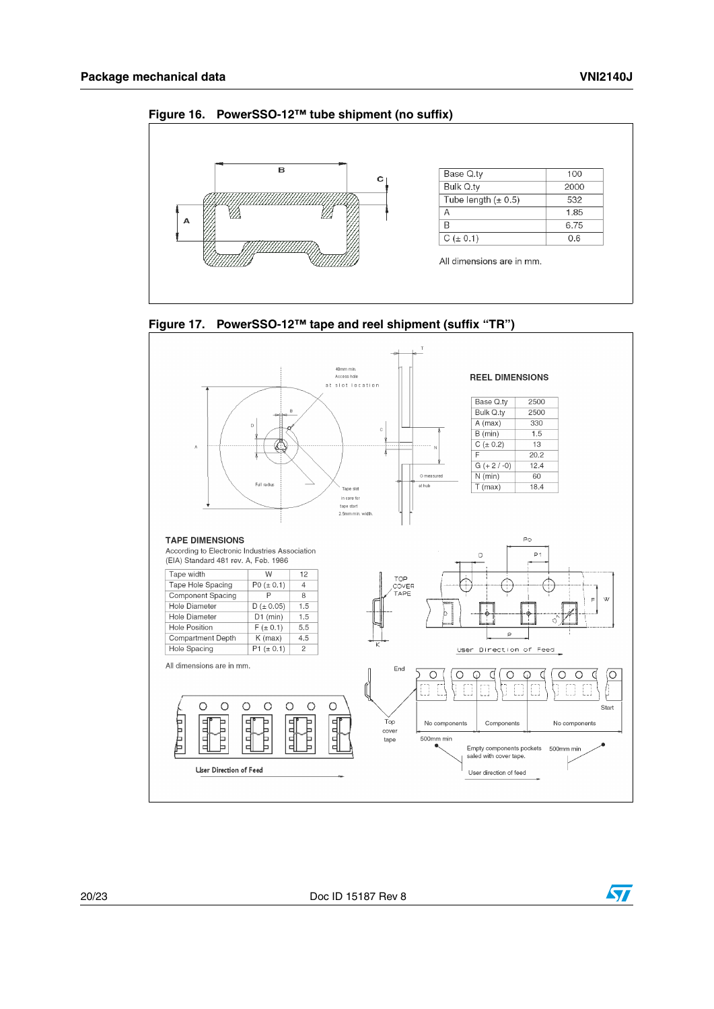



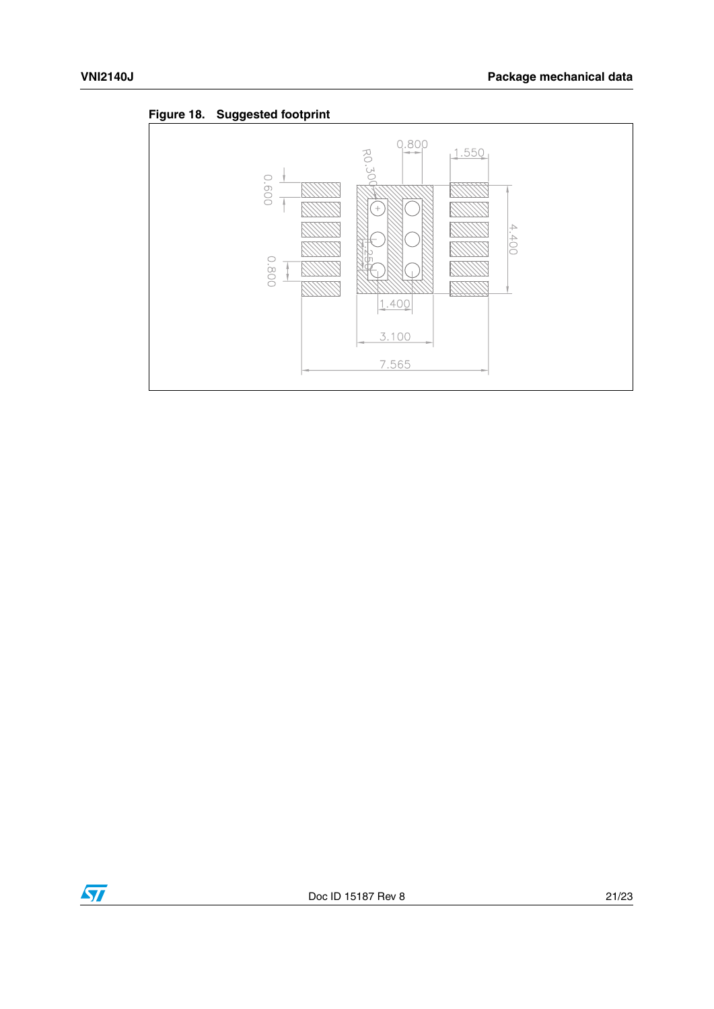<span id="page-20-0"></span>



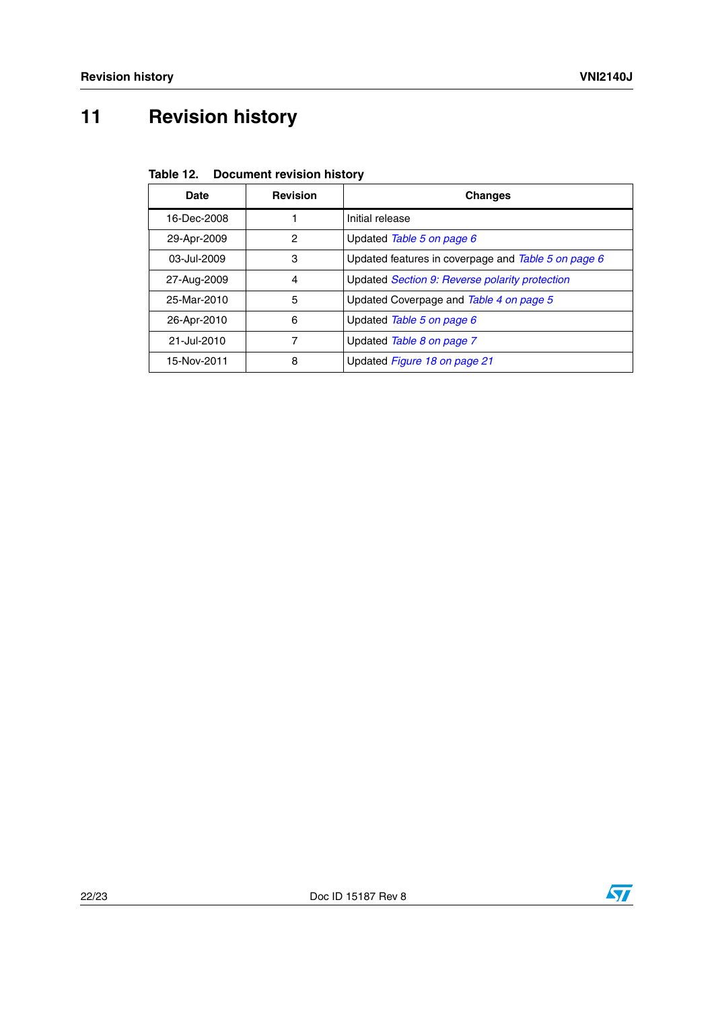# <span id="page-21-0"></span>**11 Revision history**

| <b>Date</b> | <b>Revision</b> | <b>Changes</b>                                      |
|-------------|-----------------|-----------------------------------------------------|
| 16-Dec-2008 |                 | Initial release                                     |
| 29-Apr-2009 | 2               | Updated Table 5 on page 6                           |
| 03-Jul-2009 | 3               | Updated features in coverpage and Table 5 on page 6 |
| 27-Aug-2009 | 4               | Updated Section 9: Reverse polarity protection      |
| 25-Mar-2010 | 5               | Updated Coverpage and Table 4 on page 5             |
| 26-Apr-2010 | 6               | Updated Table 5 on page 6                           |
| 21-Jul-2010 | 7               | Updated Table 8 on page 7                           |
| 15-Nov-2011 | 8               | Updated Figure 18 on page 21                        |

**Table 12. Document revision history**